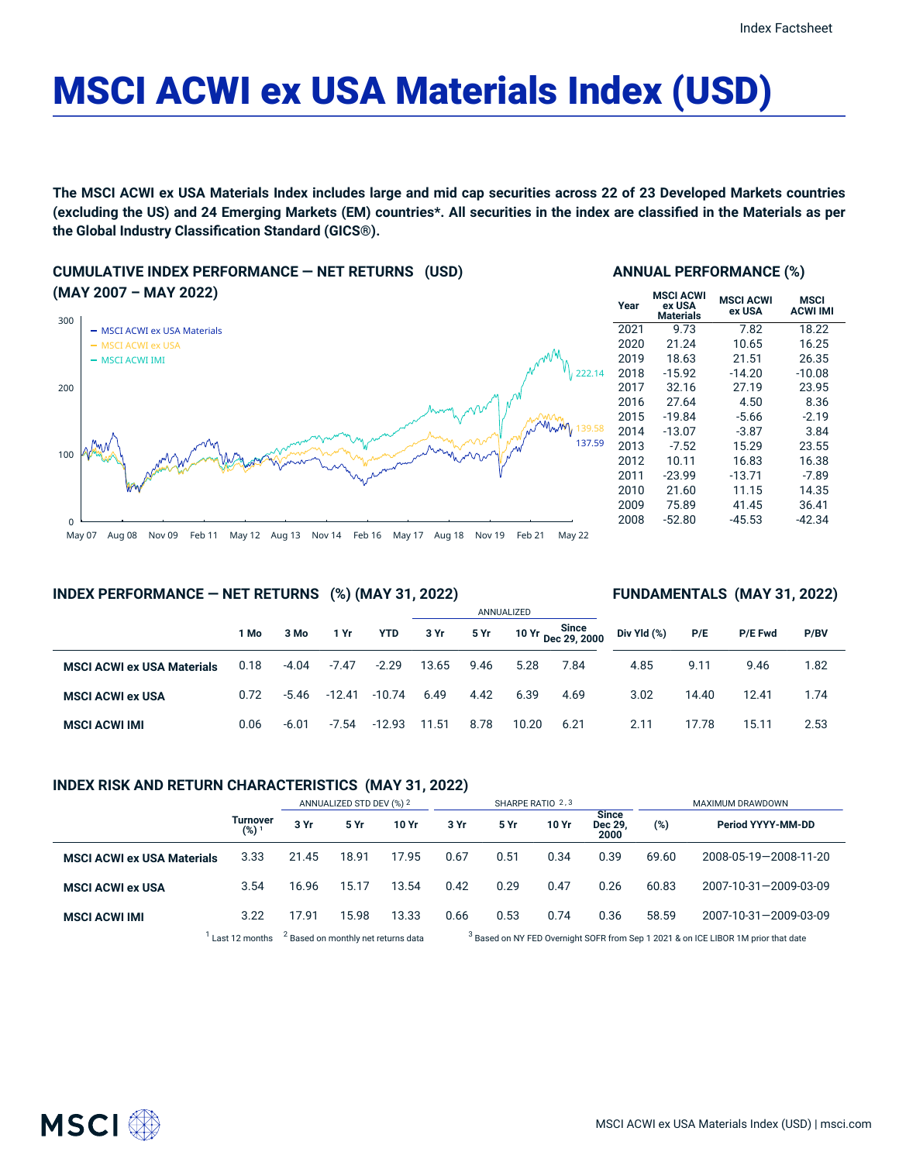# MSCI ACWI ex USA Materials Index (USD)

The MSCI ACWI ex USA Materials Index includes large and mid cap securities across 22 of 23 Developed Markets countries (excluding the US) and 24 Emerging Markets (EM) countries\*. All securities in the index are classified in the Materials as per **the Global Industry Classification Standard (GICS®).**

**CUMULATIVE INDEX PERFORMANCE — NET RETURNS (USD) (MAY 2007 – MAY 2022)**



#### **ANNUAL PERFORMANCE (%)**

| Year | <b>MSCI ACWI</b><br>ex USA<br><b>Materials</b> | <b>MSCI ACWI</b><br>ex USA | MSCI<br><b>ACWI IMI</b> |
|------|------------------------------------------------|----------------------------|-------------------------|
| 2021 | 9.73                                           | 7.82                       | 18.22                   |
| 2020 | 21.24                                          | 10.65                      | 16.25                   |
| 2019 | 18.63                                          | 21.51                      | 26.35                   |
| 2018 | $-15.92$                                       | $-14.20$                   | $-10.08$                |
| 2017 | 32.16                                          | 27.19                      | 23.95                   |
| 2016 | 27.64                                          | 4.50                       | 8.36                    |
| 2015 | $-19.84$                                       | -5.66                      | $-2.19$                 |
| 2014 | $-13.07$                                       | $-3.87$                    | 3.84                    |
| 2013 | $-7.52$                                        | 15.29                      | 23.55                   |
| 2012 | 10.11                                          | 16.83                      | 16.38                   |
| 2011 | $-23.99$                                       | $-13.71$                   | $-7.89$                 |
| 2010 | 21.60                                          | 11.15                      | 14.35                   |
| 2009 | 75.89                                          | 41.45                      | 36.41                   |
| 2008 | $-52.80$                                       | $-45.53$                   | -42.34                  |

#### **INDEX PERFORMANCE — NET RETURNS (%) (MAY 31, 2022)**

#### **FUNDAMENTALS (MAY 31, 2022)**

|                                   |      |         |          |            |       | ANNUALIZED |       |                             |             |       |                |      |  |
|-----------------------------------|------|---------|----------|------------|-------|------------|-------|-----------------------------|-------------|-------|----------------|------|--|
|                                   | 1 Mo | 3 Mo    | 1 Yr     | <b>YTD</b> | 3 Yr  | 5 Yr       |       | 10 Yr Since<br>Dec 29, 2000 | Div Yld (%) | P/E   | <b>P/E Fwd</b> | P/BV |  |
| <b>MSCI ACWI ex USA Materials</b> | 0.18 | $-4.04$ | $-7.47$  | $-2.29$    | 13.65 | 9.46       | 5.28  | 7.84                        | 4.85        | 9.11  | 9.46           | 1.82 |  |
| <b>MSCI ACWI ex USA</b>           | 0.72 | $-5.46$ | $-12.41$ | $-10.74$   | 6.49  | 4.42       | 6.39  | 4.69                        | 3.02        | 14.40 | 12.41          | 1.74 |  |
| <b>MSCI ACWI IMI</b>              | 0.06 | $-6.01$ | -7.54    | -12.93     | 11.51 | 8.78       | 10.20 | 6.21                        | 2.11        | 17.78 | 15.11          | 2.53 |  |

### **INDEX RISK AND RETURN CHARACTERISTICS (MAY 31, 2022)**

|                                   |                                     | ANNUALIZED STD DEV (%) 2 |       |       | SHARPE RATIO 2.3 |      |       |                                 | MAXIMUM DRAWDOWN |                       |  |
|-----------------------------------|-------------------------------------|--------------------------|-------|-------|------------------|------|-------|---------------------------------|------------------|-----------------------|--|
|                                   | <b>Turnover</b><br>(%) <sup>1</sup> | 3 Yr                     | 5 Yr  | 10 Yr | 3 Yr             | 5 Yr | 10 Yr | <b>Since</b><br>Dec 29,<br>2000 | (%)              | Period YYYY-MM-DD     |  |
| <b>MSCI ACWI ex USA Materials</b> | 3.33                                | 21.45                    | 18.91 | 17.95 | 0.67             | 0.51 | 0.34  | 0.39                            | 69.60            | 2008-05-19-2008-11-20 |  |
| <b>MSCI ACWI ex USA</b>           | 3.54                                | 16.96                    | 15.17 | 13.54 | 0.42             | 0.29 | 0.47  | 0.26                            | 60.83            | 2007-10-31-2009-03-09 |  |
| <b>MSCI ACWI IMI</b>              | 3.22                                | 17.91                    | 15.98 | 13.33 | 0.66             | 0.53 | 0.74  | 0.36                            | 58.59            | 2007-10-31-2009-03-09 |  |

 $1$  Last 12 months  $3$  Based on monthly net returns data  $3$ 

<sup>3</sup> Based on NY FED Overnight SOFR from Sep 1 2021 & on ICE LIBOR 1M prior that date

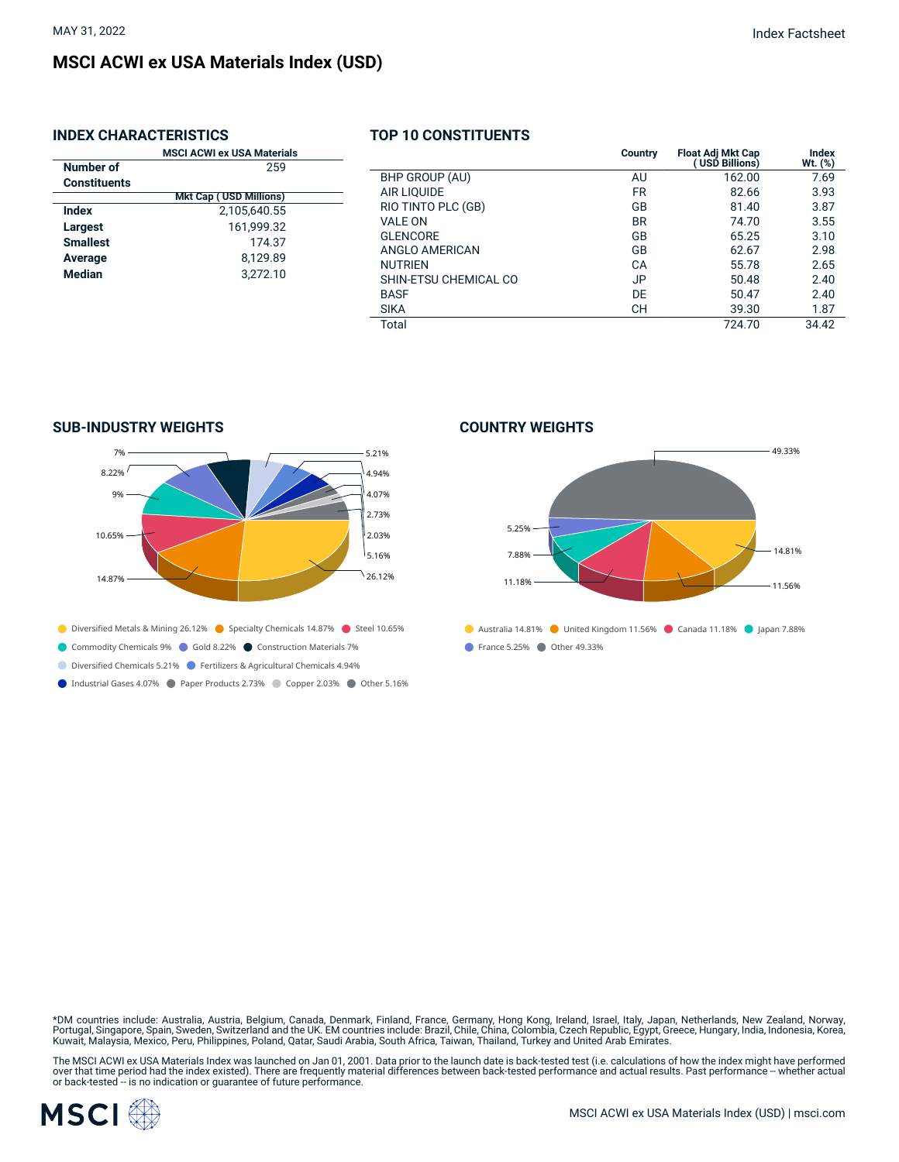# **MSCI ACWI ex USA Materials Index (USD)**

# **INDEX CHARACTERISTICS**

|                     | <b>MSCI ACWI ex USA Materials</b> |
|---------------------|-----------------------------------|
| Number of           | 259                               |
| <b>Constituents</b> |                                   |
|                     | <b>Mkt Cap (USD Millions)</b>     |
| Index               | 2,105,640.55                      |
| Largest             | 161.999.32                        |
| <b>Smallest</b>     | 174.37                            |
| Average             | 8,129.89                          |
| <b>Median</b>       | 3.272.10                          |
|                     |                                   |
|                     |                                   |

# **TOP 10 CONSTITUENTS**

|                       | <b>Country</b> | Float Adj Mkt Cap<br>(USD Billions) | Index<br>Wt. (%) |
|-----------------------|----------------|-------------------------------------|------------------|
| BHP GROUP (AU)        | AU             | 162.00                              | 7.69             |
| <b>AIR LIQUIDE</b>    | <b>FR</b>      | 82.66                               | 3.93             |
| RIO TINTO PLC (GB)    | GB             | 81.40                               | 3.87             |
| VAI F ON              | <b>BR</b>      | 74.70                               | 3.55             |
| <b>GLENCORE</b>       | GB             | 65.25                               | 3.10             |
| ANGLO AMERICAN        | GB             | 62.67                               | 2.98             |
| <b>NUTRIEN</b>        | СA             | 55.78                               | 2.65             |
| SHIN-ETSU CHEMICAL CO | JP.            | 50.48                               | 2.40             |
| <b>BASF</b>           | DE             | 50.47                               | 2.40             |
| <b>SIKA</b>           | CН             | 39.30                               | 1.87             |
| Total                 |                | 724.70                              | 34.42            |

# **SUB-INDUSTRY WEIGHTS**



- Diversified Metals & Mining 26.12% Specialty Chemicals 14.87% Steel 10.65%
- Commodity Chemicals 9% Cold 8.22% Construction Materials 7%
- Diversified Chemicals 5.21% Fertilizers & Agricultural Chemicals 4.94%
- Industrial Gases 4.07% Paper Products 2.73% Copper 2.03% Other 5.16%

#### **COUNTRY WEIGHTS**



\*DM countries include: Australia, Austria, Belgium, Canada, Denmark, Finland, France, Germany, Hong Kong, Ireland, Israel, Italy, Japan, Netherlands, New Zealand, Norway,<br>Portugal, Singapore, Spain, Sweden, Switzerland and

The MSCI ACWI ex USA Materials Index was launched on Jan 01, 2001. Data prior to the launch date is back-tested test (i.e. calculations of how the index might have performed<br>over that time period had the index existed). Th